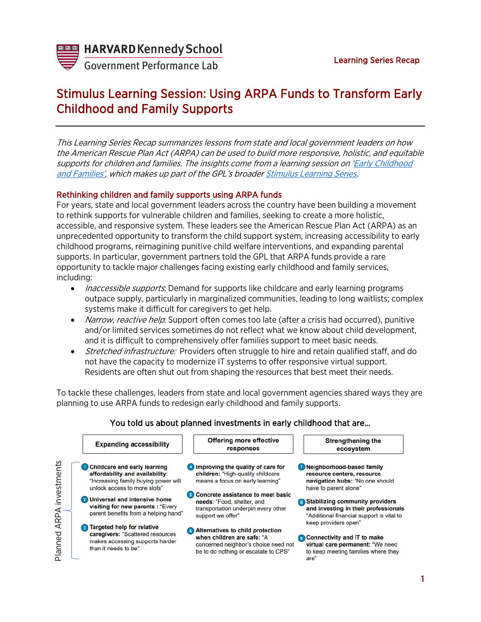

**Government Performance Lab** 

# Stimulus Learning Session: Using ARPA Funds to Transform Early Childhood and Family Supports

This Learning Series Recap summarizes lessons from state and local government leaders on how the American Rescue Plan Act (ARPA) can be used to build more responsive, holistic, and equitable supports for children and families. The insights come from a learning session on ['Early Childhood](https://harvard.zoom.us/rec/play/_yQtiS2qGh7uS-y3bB0D9WDBcq_woK-hC2TD1HXGyF3zPeQFZGYxlzQbixDi7Ael0-JPnXtxvwlNiUmw.yPOpKwtiA3OW11R1?continueMode=true&_x_zm_rtaid=qbBJJcLgQ7WSvpvBTws29w.1630595787424.75f26a0f060947bfb1940c5e49df58a6&_x_zm_rhtaid=427)  [and Families',](https://harvard.zoom.us/rec/play/_yQtiS2qGh7uS-y3bB0D9WDBcq_woK-hC2TD1HXGyF3zPeQFZGYxlzQbixDi7Ael0-JPnXtxvwlNiUmw.yPOpKwtiA3OW11R1?continueMode=true&_x_zm_rtaid=qbBJJcLgQ7WSvpvBTws29w.1630595787424.75f26a0f060947bfb1940c5e49df58a6&_x_zm_rhtaid=427) which makes up part of the GPL's broader [Stimulus Learning Series.](https://govlab.hks.harvard.edu/stimulus-learning-series)

## Rethinking children and family supports using ARPA funds

For years, state and local government leaders across the country have been building a movement to rethink supports for vulnerable children and families, seeking to create a more holistic, accessible, and responsive system. These leaders see the American Rescue Plan Act (ARPA) as an unprecedented opportunity to transform the child support system, increasing accessibility to early childhood programs, reimagining punitive child welfare interventions, and expanding parental supports. In particular, government partners told the GPL that ARPA funds provide a rare opportunity to tackle major challenges facing existing early childhood and family services, including:

- *Inaccessible supports*: Demand for supports like childcare and early learning programs outpace supply, particularly in marginalized communities, leading to long waitlists; complex systems make it difficult for caregivers to get help.
- Narrow, reactive help: Support often comes too late (after a crisis had occurred), punitive and/or limited services sometimes do not reflect what we know about child development, and it is difficult to comprehensively offer families support to meet basic needs.
- Stretched infrastructure: Providers often struggle to hire and retain qualified staff, and do not have the capacity to modernize IT systems to offer responsive virtual support. Residents are often shut out from shaping the resources that best meet their needs.

To tackle these challenges, leaders from state and local government agencies shared ways they are planning to use ARPA funds to redesign early childhood and family supports.



# You told us about planned investments in early childhood that are…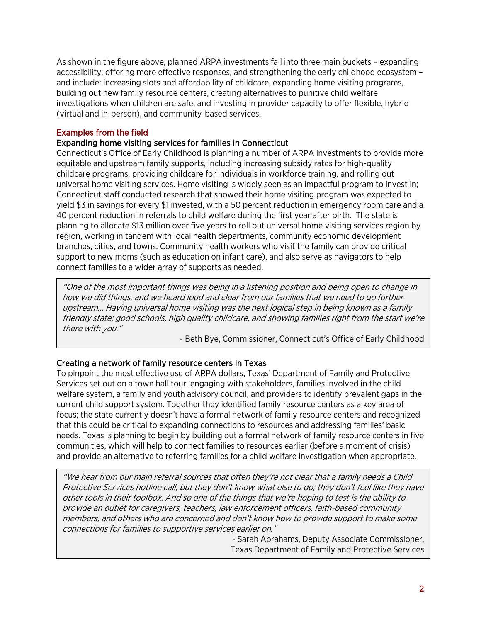As shown in the figure above, planned ARPA investments fall into three main buckets – expanding accessibility, offering more effective responses, and strengthening the early childhood ecosystem – and include: increasing slots and affordability of childcare, expanding home visiting programs, building out new family resource centers, creating alternatives to punitive child welfare investigations when children are safe, and investing in provider capacity to offer flexible, hybrid (virtual and in-person), and community-based services.

#### Examples from the field

#### Expanding home visiting services for families in Connecticut

Connecticut's Office of Early Childhood is planning a number of ARPA investments to provide more equitable and upstream family supports, including increasing subsidy rates for high-quality childcare programs, providing childcare for individuals in workforce training, and rolling out universal home visiting services. Home visiting is widely seen as an impactful program to invest in; Connecticut staff conducted research that showed their home visiting program was expected to yield \$3 in savings for every \$1 invested, with a 50 percent reduction in emergency room care and a 40 percent reduction in referrals to child welfare during the first year after birth. The state is planning to allocate \$13 million over five years to roll out universal home visiting services region by region, working in tandem with local health departments, community economic development branches, cities, and towns. Community health workers who visit the family can provide critical support to new moms (such as education on infant care), and also serve as navigators to help connect families to a wider array of supports as needed.

"One of the most important things was being in a listening position and being open to change in how we did things, and we heard loud and clear from our families that we need to go further upstream… Having universal home visiting was the next logical step in being known as a family friendly state: good schools, high quality childcare, and showing families right from the start we're there with you."

- Beth Bye, Commissioner, Connecticut's Office of Early Childhood

### Creating a network of family resource centers in Texas

To pinpoint the most effective use of ARPA dollars, Texas' Department of Family and Protective Services set out on a town hall tour, engaging with stakeholders, families involved in the child welfare system, a family and youth advisory council, and providers to identify prevalent gaps in the current child support system. Together they identified family resource centers as a key area of focus; the state currently doesn't have a formal network of family resource centers and recognized that this could be critical to expanding connections to resources and addressing families' basic needs. Texas is planning to begin by building out a formal network of family resource centers in five communities, which will help to connect families to resources earlier (before a moment of crisis) and provide an alternative to referring families for a child welfare investigation when appropriate.

"We hear from our main referral sources that often they're not clear that a family needs a Child Protective Services hotline call, but they don't know what else to do; they don't feel like they have other tools in their toolbox. And so one of the things that we're hoping to test is the ability to provide an outlet for caregivers, teachers, law enforcement officers, faith-based community members, and others who are concerned and don't know how to provide support to make some connections for families to supportive services earlier on."

> - Sarah Abrahams, Deputy Associate Commissioner, Texas Department of Family and Protective Services